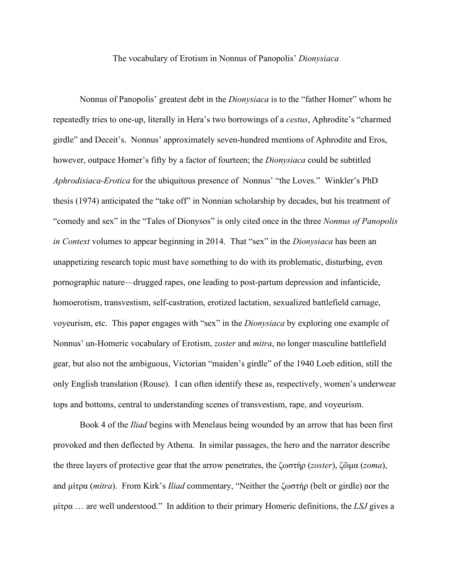## The vocabulary of Erotism in Nonnus of Panopolis' *Dionysiaca*

Nonnus of Panopolis' greatest debt in the *Dionysiaca* is to the "father Homer" whom he repeatedly tries to one-up, literally in Hera's two borrowings of a *cestus*, Aphrodite's "charmed girdle" and Deceit's. Nonnus' approximately seven-hundred mentions of Aphrodite and Eros, however, outpace Homer's fifty by a factor of fourteen; the *Dionysiaca* could be subtitled *Aphrodisiaca-Erotica* for the ubiquitous presence of Nonnus' "the Loves." Winkler's PhD thesis (1974) anticipated the "take off" in Nonnian scholarship by decades, but his treatment of "comedy and sex" in the "Tales of Dionysos" is only cited once in the three *Nonnus of Panopolis in Context* volumes to appear beginning in 2014. That "sex" in the *Dionysiaca* has been an unappetizing research topic must have something to do with its problematic, disturbing, even pornographic nature—drugged rapes, one leading to post-partum depression and infanticide, homoerotism, transvestism, self-castration, erotized lactation, sexualized battlefield carnage, voyeurism, etc. This paper engages with "sex" in the *Dionysiaca* by exploring one example of Nonnus' un-Homeric vocabulary of Erotism, *zoster* and *mitra*, no longer masculine battlefield gear, but also not the ambiguous, Victorian "maiden's girdle" of the 1940 Loeb edition, still the only English translation (Rouse). I can often identify these as, respectively, women's underwear tops and bottoms, central to understanding scenes of transvestism, rape, and voyeurism.

Book 4 of the *Iliad* begins with Menelaus being wounded by an arrow that has been first provoked and then deflected by Athena. In similar passages, the hero and the narrator describe the three layers of protective gear that the arrow penetrates, the ζωστήρ (*zoster*), ζῶμα (*zoma*), and μίτρα (*mitra*). From Kirk's *Iliad* commentary, "Neither the ζωστήρ (belt or girdle) nor the μίτρα … are well understood." In addition to their primary Homeric definitions, the *LSJ* gives a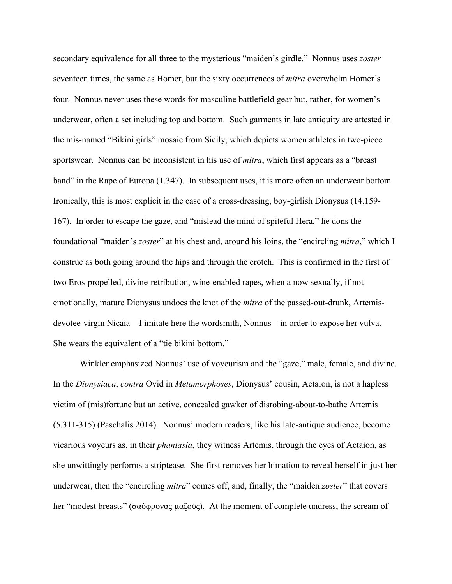secondary equivalence for all three to the mysterious "maiden's girdle." Nonnus uses *zoster* seventeen times, the same as Homer, but the sixty occurrences of *mitra* overwhelm Homer's four. Nonnus never uses these words for masculine battlefield gear but, rather, for women's underwear, often a set including top and bottom. Such garments in late antiquity are attested in the mis-named "Bikini girls" mosaic from Sicily, which depicts women athletes in two-piece sportswear. Nonnus can be inconsistent in his use of *mitra*, which first appears as a "breast band" in the Rape of Europa (1.347). In subsequent uses, it is more often an underwear bottom. Ironically, this is most explicit in the case of a cross-dressing, boy-girlish Dionysus (14.159- 167). In order to escape the gaze, and "mislead the mind of spiteful Hera," he dons the foundational "maiden's *zoster*" at his chest and, around his loins, the "encircling *mitra*," which I construe as both going around the hips and through the crotch. This is confirmed in the first of two Eros-propelled, divine-retribution, wine-enabled rapes, when a now sexually, if not emotionally, mature Dionysus undoes the knot of the *mitra* of the passed-out-drunk, Artemisdevotee-virgin Nicaia—I imitate here the wordsmith, Nonnus—in order to expose her vulva. She wears the equivalent of a "tie bikini bottom."

Winkler emphasized Nonnus' use of voyeurism and the "gaze," male, female, and divine. In the *Dionysiaca*, *contra* Ovid in *Metamorphoses*, Dionysus' cousin, Actaion, is not a hapless victim of (mis)fortune but an active, concealed gawker of disrobing-about-to-bathe Artemis (5.311-315) (Paschalis 2014). Nonnus' modern readers, like his late-antique audience, become vicarious voyeurs as, in their *phantasia*, they witness Artemis, through the eyes of Actaion, as she unwittingly performs a striptease. She first removes her himation to reveal herself in just her underwear, then the "encircling *mitra*" comes off, and, finally, the "maiden *zoster*" that covers her "modest breasts" (σαόφρονας μαζούς). At the moment of complete undress, the scream of